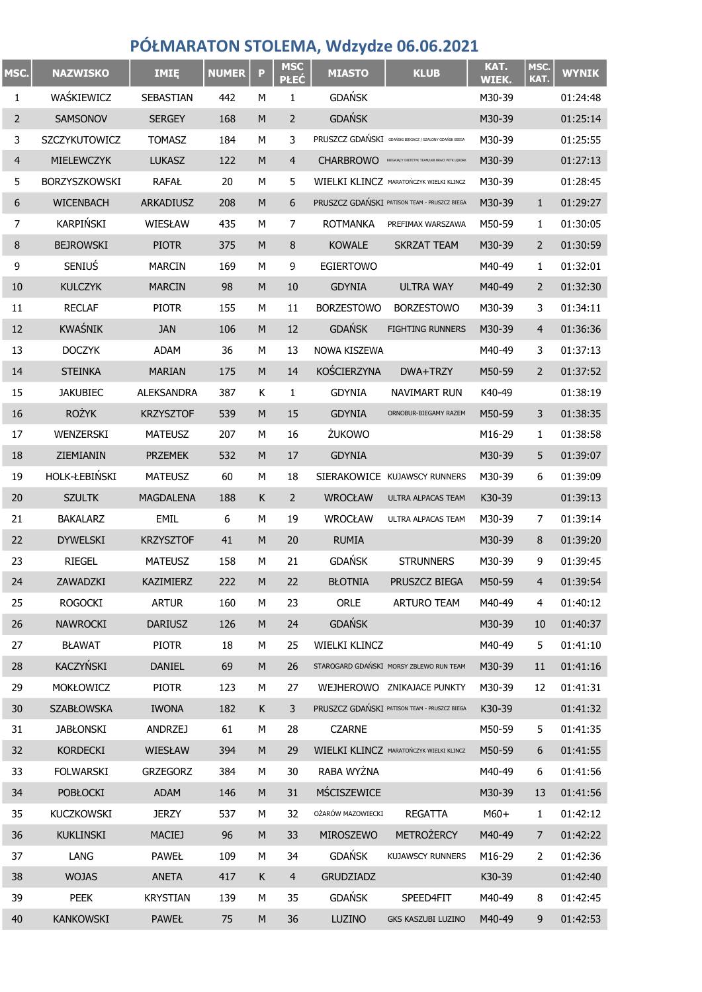## PÓŁMARATON STOLEMA, Wdzydze 06.06.2021

| MSC.           | <b>NAZWISKO</b>      | IMIĘ              | <b>NUMER</b> | P | <b>MSC</b><br><b>PŁEĆ</b> | <b>MIASTO</b>        | <b>KLUB</b>                                            | KAT.<br>WIEK. | MSC.<br>KAT.   | <b>WYNIK</b> |
|----------------|----------------------|-------------------|--------------|---|---------------------------|----------------------|--------------------------------------------------------|---------------|----------------|--------------|
| 1              | WAŚKIEWICZ           | SEBASTIAN         | 442          | М | 1                         | <b>GDAŃSK</b>        |                                                        | M30-39        |                | 01:24:48     |
| $\overline{2}$ | SAMSONOV             | <b>SERGEY</b>     | 168          | M | $\overline{2}$            | <b>GDAŃSK</b>        |                                                        | M30-39        |                | 01:25:14     |
| 3              | SZCZYKUTOWICZ        | <b>TOMASZ</b>     | 184          | М | 3                         |                      | PRUSZCZ GDAŃSKI GDAŃSKI BIEGACZ / SZALONY GDAŃSK BIEGA | M30-39        |                | 01:25:55     |
| $\overline{4}$ | MIELEWCZYK           | <b>LUKASZ</b>     | 122          | M | $\overline{4}$            | <b>CHARBROWO</b>     | BIEGAJĄCY DIETETYK TEAM/LKB BRACI PETK LĘBORK          | M30-39        |                | 01:27:13     |
| 5              | BORZYSZKOWSKI        | <b>RAFAŁ</b>      | 20           | М | 5                         |                      | WIELKI KLINCZ MARATOŃCZYK WIELKI KLINCZ                | M30-39        |                | 01:28:45     |
| 6              | <b>WICENBACH</b>     | ARKADIUSZ         | 208          | M | 6                         |                      | PRUSZCZ GDAŃSKI PATISON TEAM - PRUSZCZ BIEGA           | M30-39        | $\mathbf{1}$   | 01:29:27     |
| 7              | <b>KARPIŃSKI</b>     | WIESŁAW           | 435          | М | 7                         | <b>ROTMANKA</b>      | PREFIMAX WARSZAWA                                      | M50-59        | 1              | 01:30:05     |
| $\,8\,$        | <b>BEJROWSKI</b>     | <b>PIOTR</b>      | 375          | M | 8                         | <b>KOWALE</b>        | <b>SKRZAT TEAM</b>                                     | M30-39        | $\overline{2}$ | 01:30:59     |
| 9              | SENIUS               | <b>MARCIN</b>     | 169          | М | 9                         | <b>EGIERTOWO</b>     |                                                        | M40-49        | 1              | 01:32:01     |
| 10             | <b>KULCZYK</b>       | <b>MARCIN</b>     | 98           | M | 10                        | <b>GDYNIA</b>        | <b>ULTRA WAY</b>                                       | M40-49        | $\overline{2}$ | 01:32:30     |
| 11             | <b>RECLAF</b>        | <b>PIOTR</b>      | 155          | М | 11                        | <b>BORZESTOWO</b>    | <b>BORZESTOWO</b>                                      | M30-39        | 3              | 01:34:11     |
| 12             | KWAŚNIK              | <b>JAN</b>        | 106          | M | 12                        | <b>GDAŃSK</b>        | <b>FIGHTING RUNNERS</b>                                | M30-39        | 4              | 01:36:36     |
| 13             | <b>DOCZYK</b>        | ADAM              | 36           | М | 13                        | NOWA KISZEWA         |                                                        | M40-49        | 3              | 01:37:13     |
| 14             | <b>STEINKA</b>       | <b>MARIAN</b>     | 175          | M | 14                        | <b>KOŚCIERZYNA</b>   | DWA+TRZY                                               | M50-59        | $\overline{2}$ | 01:37:52     |
| 15             | <b>JAKUBIEC</b>      | <b>ALEKSANDRA</b> | 387          | Κ | 1                         | <b>GDYNIA</b>        | NAVIMART RUN                                           | K40-49        |                | 01:38:19     |
| 16             | <b>ROŻYK</b>         | <b>KRZYSZTOF</b>  | 539          | M | 15                        | <b>GDYNIA</b>        | ORNOBUR-BIEGAMY RAZEM                                  | M50-59        | 3              | 01:38:35     |
| 17             | WENZERSKI            | <b>MATEUSZ</b>    | 207          | М | 16                        | ŻUKOWO               |                                                        | M16-29        | 1              | 01:38:58     |
| 18             | ZIEMIANIN            | <b>PRZEMEK</b>    | 532          | M | 17                        | <b>GDYNIA</b>        |                                                        | M30-39        | 5              | 01:39:07     |
| 19             | <b>HOLK-ŁEBIŃSKI</b> | <b>MATEUSZ</b>    | 60           | М | 18                        |                      | SIERAKOWICE KUJAWSCY RUNNERS                           | M30-39        | 6              | 01:39:09     |
| 20             | <b>SZULTK</b>        | <b>MAGDALENA</b>  | 188          | K | $\overline{2}$            | <b>WROCŁAW</b>       | ULTRA ALPACAS TEAM                                     | K30-39        |                | 01:39:13     |
| 21             | <b>BAKALARZ</b>      | EMIL              | 6            | М | 19                        | WROCŁAW              | ULTRA ALPACAS TEAM                                     | M30-39        | 7              | 01:39:14     |
| 22             | <b>DYWELSKI</b>      | <b>KRZYSZTOF</b>  | 41           | M | 20                        | <b>RUMIA</b>         |                                                        | M30-39        | 8              | 01:39:20     |
| 23             | <b>RIEGEL</b>        | <b>MATEUSZ</b>    | 158          | М | 21                        | <b>GDAŃSK</b>        | <b>STRUNNERS</b>                                       | M30-39        | 9              | 01:39:45     |
| 24             | ZAWADZKI             | KAZIMIERZ         | 222          | M | 22                        | <b>BŁOTNIA</b>       | PRUSZCZ BIEGA                                          | M50-59        | 4              | 01:39:54     |
| 25             | <b>ROGOCKI</b>       | <b>ARTUR</b>      | 160          | М | 23                        | <b>ORLE</b>          | <b>ARTURO TEAM</b>                                     | M40-49        | 4              | 01:40:12     |
| 26             | <b>NAWROCKI</b>      | <b>DARIUSZ</b>    | 126          | M | 24                        | <b>GDAŃSK</b>        |                                                        | M30-39        | 10             | 01:40:37     |
| 27             | <b>BŁAWAT</b>        | <b>PIOTR</b>      | 18           | М | 25                        | <b>WIELKI KLINCZ</b> |                                                        | M40-49        | 5              | 01:41:10     |
| 28             | KACZYŃSKI            | <b>DANIEL</b>     | 69           | M | 26                        |                      | STAROGARD GDAŃSKI MORSY ZBLEWO RUN TEAM                | M30-39        | 11             | 01:41:16     |
| 29             | MOKŁOWICZ            | <b>PIOTR</b>      | 123          | М | 27                        |                      | WEJHEROWO ZNIKAJACE PUNKTY                             | M30-39        | 12             | 01:41:31     |
| 30             | <b>SZABŁOWSKA</b>    | <b>IWONA</b>      | 182          | K | 3                         |                      | PRUSZCZ GDAŃSKI PATISON TEAM - PRUSZCZ BIEGA           | K30-39        |                | 01:41:32     |
| 31             | <b>JABŁONSKI</b>     | <b>ANDRZEJ</b>    | 61           | М | 28                        | <b>CZARNE</b>        |                                                        | M50-59        | 5              | 01:41:35     |
| 32             | <b>KORDECKI</b>      | WIESŁAW           | 394          | M | 29                        |                      | WIELKI KLINCZ MARATOŃCZYK WIELKI KLINCZ                | M50-59        | 6              | 01:41:55     |
| 33             | <b>FOLWARSKI</b>     | <b>GRZEGORZ</b>   | 384          | М | 30                        | RABA WYŻNA           |                                                        | M40-49        | 6              | 01:41:56     |
| 34             | <b>POBŁOCKI</b>      | ADAM              | 146          | M | 31                        | MŚCISZEWICE          |                                                        | M30-39        | 13             | 01:41:56     |
| 35             | KUCZKOWSKI           | <b>JERZY</b>      | 537          | М | 32                        | OŻARÓW MAZOWIECKI    | <b>REGATTA</b>                                         | $M60+$        | 1              | 01:42:12     |
| 36             | <b>KUKLINSKI</b>     | <b>MACIEJ</b>     | 96           | M | 33                        | MIROSZEWO            | <b>METROŻERCY</b>                                      | M40-49        | $\overline{7}$ | 01:42:22     |
| 37             | LANG                 | <b>PAWEŁ</b>      | 109          | М | 34                        | <b>GDAŃSK</b>        | KUJAWSCY RUNNERS                                       | M16-29        | 2              | 01:42:36     |
| 38             | <b>WOJAS</b>         | <b>ANETA</b>      | 417          | K | $\overline{4}$            | <b>GRUDZIADZ</b>     |                                                        | K30-39        |                | 01:42:40     |
| 39             | PEEK                 | <b>KRYSTIAN</b>   | 139          | М | 35                        | <b>GDAŃSK</b>        | SPEED4FIT                                              | M40-49        | 8              | 01:42:45     |
| 40             | <b>KANKOWSKI</b>     | <b>PAWEŁ</b>      | 75           | M | 36                        | LUZINO               | GKS KASZUBI LUZINO                                     | M40-49        | 9              | 01:42:53     |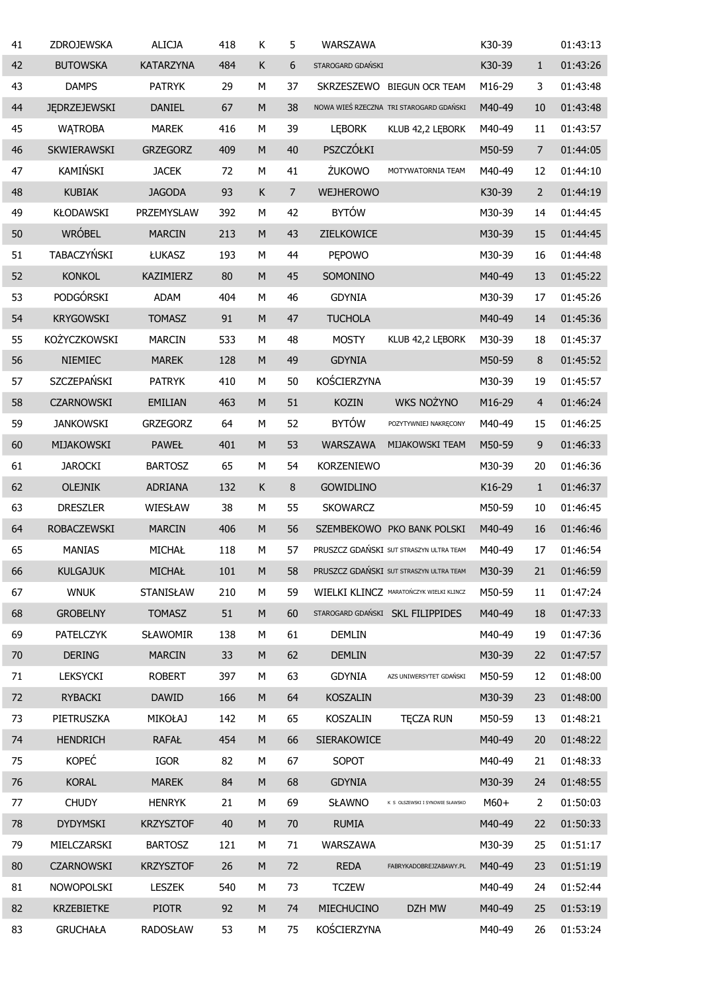| 41 | ZDROJEWSKA          | <b>ALICJA</b>    | 418 | К                                                                                                          | 5              | WARSZAWA           |                                         | K30-39 |                | 01:43:13 |
|----|---------------------|------------------|-----|------------------------------------------------------------------------------------------------------------|----------------|--------------------|-----------------------------------------|--------|----------------|----------|
| 42 | <b>BUTOWSKA</b>     | <b>KATARZYNA</b> | 484 | К                                                                                                          | 6              | STAROGARD GDAŃSKI  |                                         | K30-39 | $\mathbf{1}$   | 01:43:26 |
| 43 | <b>DAMPS</b>        | <b>PATRYK</b>    | 29  | M                                                                                                          | 37             | SKRZESZEWO         | <b>BIEGUN OCR TEAM</b>                  | M16-29 | 3              | 01:43:48 |
| 44 | <b>JEDRZEJEWSKI</b> | <b>DANIEL</b>    | 67  | M                                                                                                          | 38             |                    | NOWA WIEŚ RZECZNA TRI STAROGARD GDAŃSKI | M40-49 | 10             | 01:43:48 |
| 45 | <b>WATROBA</b>      | <b>MAREK</b>     | 416 | М                                                                                                          | 39             | <b>LEBORK</b>      | KLUB 42,2 LEBORK                        | M40-49 | 11             | 01:43:57 |
| 46 | SKWIERAWSKI         | <b>GRZEGORZ</b>  | 409 | M                                                                                                          | 40             | PSZCZÓŁKI          |                                         | M50-59 | $\overline{7}$ | 01:44:05 |
| 47 | KAMIŃSKI            | <b>JACEK</b>     | 72  | М                                                                                                          | 41             | ŻUKOWO             | MOTYWATORNIA TEAM                       | M40-49 | 12             | 01:44:10 |
| 48 | <b>KUBIAK</b>       | <b>JAGODA</b>    | 93  | K                                                                                                          | $\overline{7}$ | <b>WEJHEROWO</b>   |                                         | K30-39 | $\overline{2}$ | 01:44:19 |
| 49 | <b>KŁODAWSKI</b>    | PRZEMYSLAW       | 392 | М                                                                                                          | 42             | <b>BYTÓW</b>       |                                         | M30-39 | 14             | 01:44:45 |
| 50 | WRÓBEL              | <b>MARCIN</b>    | 213 | M                                                                                                          | 43             | ZIELKOWICE         |                                         | M30-39 | 15             | 01:44:45 |
| 51 | TABACZYŃSKI         | ŁUKASZ           | 193 | М                                                                                                          | 44             | <b>PEPOWO</b>      |                                         | M30-39 | 16             | 01:44:48 |
| 52 | <b>KONKOL</b>       | KAZIMIERZ        | 80  | M                                                                                                          | 45             | SOMONINO           |                                         | M40-49 | 13             | 01:45:22 |
| 53 | PODGÓRSKI           | <b>ADAM</b>      | 404 | M                                                                                                          | 46             | <b>GDYNIA</b>      |                                         | M30-39 | 17             | 01:45:26 |
| 54 | <b>KRYGOWSKI</b>    | <b>TOMASZ</b>    | 91  | $\mathsf{M}% _{T}=\mathsf{M}_{T}\!\left( a,b\right) ,\ \mathsf{M}_{T}=\mathsf{M}_{T}\!\left( a,b\right) ,$ | 47             | <b>TUCHOLA</b>     |                                         | M40-49 | 14             | 01:45:36 |
| 55 | <b>KOŻYCZKOWSKI</b> | <b>MARCIN</b>    | 533 | М                                                                                                          | 48             | <b>MOSTY</b>       | KLUB 42,2 LEBORK                        | M30-39 | 18             | 01:45:37 |
| 56 | NIEMIEC             | <b>MAREK</b>     | 128 | M                                                                                                          | 49             | <b>GDYNIA</b>      |                                         | M50-59 | 8              | 01:45:52 |
| 57 | SZCZEPAŃSKI         | <b>PATRYK</b>    | 410 | M                                                                                                          | 50             | KOŚCIERZYNA        |                                         | M30-39 | 19             | 01:45:57 |
| 58 | <b>CZARNOWSKI</b>   | <b>EMILIAN</b>   | 463 | $\mathsf{M}% _{T}=\mathsf{M}_{T}\!\left( a,b\right) ,\ \mathsf{M}_{T}=\mathsf{M}_{T}\!\left( a,b\right) ,$ | 51             | <b>KOZIN</b>       | <b>WKS NOŻYNO</b>                       | M16-29 | $\overline{4}$ | 01:46:24 |
| 59 | <b>JANKOWSKI</b>    | <b>GRZEGORZ</b>  | 64  | M                                                                                                          | 52             | <b>BYTÓW</b>       | POZYTYWNIEJ NAKRĘCONY                   | M40-49 | 15             | 01:46:25 |
| 60 | MIJAKOWSKI          | <b>PAWEŁ</b>     | 401 | $\mathsf{M}% _{T}=\mathsf{M}_{T}\!\left( a,b\right) ,\ \mathsf{M}_{T}=\mathsf{M}_{T}\!\left( a,b\right) ,$ | 53             | <b>WARSZAWA</b>    | MIJAKOWSKI TEAM                         | M50-59 | 9              | 01:46:33 |
| 61 | <b>JAROCKI</b>      | <b>BARTOSZ</b>   | 65  | M                                                                                                          | 54             | <b>KORZENIEWO</b>  |                                         | M30-39 | 20             | 01:46:36 |
| 62 | <b>OLEJNIK</b>      | <b>ADRIANA</b>   | 132 | K                                                                                                          | 8              | <b>GOWIDLINO</b>   |                                         | K16-29 | $\mathbf{1}$   | 01:46:37 |
| 63 | <b>DRESZLER</b>     | WIESŁAW          | 38  | M                                                                                                          | 55             | <b>SKOWARCZ</b>    |                                         | M50-59 | 10             | 01:46:45 |
| 64 | <b>ROBACZEWSKI</b>  | <b>MARCIN</b>    | 406 | $\mathsf{M}% _{T}=\mathsf{M}_{T}\!\left( a,b\right) ,\ \mathsf{M}_{T}=\mathsf{M}_{T}\!\left( a,b\right) ,$ | 56             |                    | SZEMBEKOWO PKO BANK POLSKI              | M40-49 | 16             | 01:46:46 |
| 65 | <b>MANIAS</b>       | MICHAŁ           | 118 | M                                                                                                          | 57             |                    | PRUSZCZ GDAŃSKI SUT STRASZYN ULTRA TEAM | M40-49 | 17             | 01:46:54 |
| 66 | <b>KULGAJUK</b>     | MICHAŁ           | 101 | M                                                                                                          | 58             |                    | PRUSZCZ GDAŃSKI SUT STRASZYN ULTRA TEAM | M30-39 | 21             | 01:46:59 |
| 67 | <b>WNUK</b>         | STANISŁAW        | 210 | М                                                                                                          | 59             |                    | WIELKI KLINCZ MARATOŃCZYK WIELKI KLINCZ | M50-59 | 11             | 01:47:24 |
| 68 | <b>GROBELNY</b>     | <b>TOMASZ</b>    | 51  | ${\sf M}$                                                                                                  | 60             |                    | STAROGARD GDAŃSKI SKL FILIPPIDES        | M40-49 | 18             | 01:47:33 |
| 69 | PATELCZYK           | SŁAWOMIR         | 138 | М                                                                                                          | 61             | DEMLIN             |                                         | M40-49 | 19             | 01:47:36 |
| 70 | <b>DERING</b>       | <b>MARCIN</b>    | 33  | M                                                                                                          | 62             | <b>DEMLIN</b>      |                                         | M30-39 | 22             | 01:47:57 |
| 71 | LEKSYCKI            | <b>ROBERT</b>    | 397 | М                                                                                                          | 63             | <b>GDYNIA</b>      | AZS UNIWERSYTET GDAŃSKI                 | M50-59 | 12             | 01:48:00 |
| 72 | RYBACKI             | <b>DAWID</b>     | 166 | M                                                                                                          | 64             | <b>KOSZALIN</b>    |                                         | M30-39 | 23             | 01:48:00 |
| 73 | PIETRUSZKA          | <b>MIKOŁAJ</b>   | 142 | М                                                                                                          | 65             | KOSZALIN           | <b>TECZA RUN</b>                        | M50-59 | 13             | 01:48:21 |
| 74 | <b>HENDRICH</b>     | <b>RAFAŁ</b>     | 454 | M                                                                                                          | 66             | <b>SIERAKOWICE</b> |                                         | M40-49 | 20             | 01:48:22 |
| 75 | <b>KOPEĆ</b>        | IGOR             | 82  | М                                                                                                          | 67             | SOPOT              |                                         | M40-49 | 21             | 01:48:33 |
| 76 | <b>KORAL</b>        | <b>MAREK</b>     | 84  | M                                                                                                          | 68             | <b>GDYNIA</b>      |                                         | M30-39 | 24             | 01:48:55 |
| 77 | <b>CHUDY</b>        | <b>HENRYK</b>    | 21  | М                                                                                                          | 69             | <b>SŁAWNO</b>      | K S OLSZEWSKI I SYNOWIE SŁAWSKO         | $M60+$ | 2              | 01:50:03 |
| 78 | <b>DYDYMSKI</b>     | <b>KRZYSZTOF</b> | 40  | M                                                                                                          | 70             | <b>RUMIA</b>       |                                         | M40-49 | 22             | 01:50:33 |
| 79 | MIELCZARSKI         | <b>BARTOSZ</b>   | 121 | М                                                                                                          | 71             | WARSZAWA           |                                         | M30-39 | 25             | 01:51:17 |
| 80 | <b>CZARNOWSKI</b>   | <b>KRZYSZTOF</b> | 26  | M                                                                                                          | 72             | <b>REDA</b>        | FABRYKADOBREJZABAWY.PL                  | M40-49 | 23             | 01:51:19 |
| 81 | NOWOPOLSKI          | <b>LESZEK</b>    | 540 | М                                                                                                          | 73             | <b>TCZEW</b>       |                                         | M40-49 | 24             | 01:52:44 |
| 82 | <b>KRZEBIETKE</b>   | <b>PIOTR</b>     | 92  | M                                                                                                          | 74             | MIECHUCINO         | DZH MW                                  | M40-49 | 25             | 01:53:19 |
| 83 | <b>GRUCHAŁA</b>     | <b>RADOSŁAW</b>  | 53  | М                                                                                                          | 75             | KOŚCIERZYNA        |                                         | M40-49 | 26             | 01:53:24 |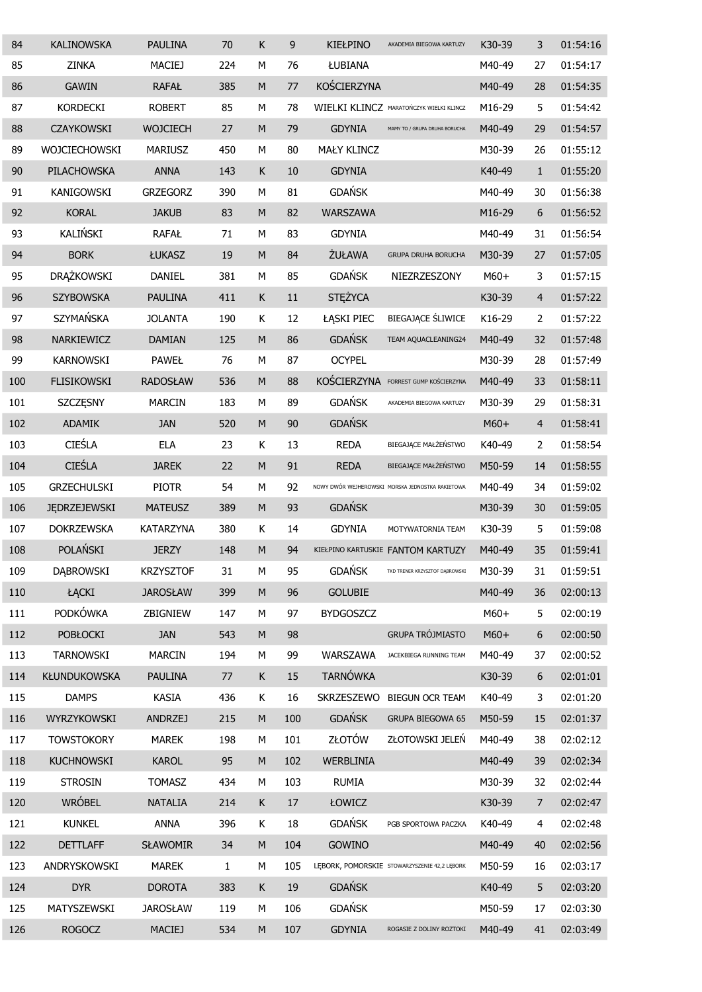| 84  | <b>KALINOWSKA</b>    | <b>PAULINA</b>   | 70          | Κ         | 9   | <b>KIEŁPINO</b>  | AKADEMIA BIEGOWA KARTUZY                         | K30-39 | 3              | 01:54:16 |
|-----|----------------------|------------------|-------------|-----------|-----|------------------|--------------------------------------------------|--------|----------------|----------|
| 85  | <b>ZINKA</b>         | <b>MACIEJ</b>    | 224         | М         | 76  | ŁUBIANA          |                                                  | M40-49 | 27             | 01:54:17 |
| 86  | <b>GAWIN</b>         | <b>RAFAŁ</b>     | 385         | M         | 77  | KOŚCIERZYNA      |                                                  | M40-49 | 28             | 01:54:35 |
| 87  | <b>KORDECKI</b>      | <b>ROBERT</b>    | 85          | М         | 78  |                  | WIELKI KLINCZ MARATOŃCZYK WIELKI KLINCZ          | M16-29 | 5              | 01:54:42 |
| 88  | <b>CZAYKOWSKI</b>    | <b>WOJCIECH</b>  | 27          | M         | 79  | <b>GDYNIA</b>    | MAMY TO / GRUPA DRUHA BORUCHA                    | M40-49 | 29             | 01:54:57 |
| 89  | <b>WOJCIECHOWSKI</b> | <b>MARIUSZ</b>   | 450         | м         | 80  | MAŁY KLINCZ      |                                                  | M30-39 | 26             | 01:55:12 |
| 90  | <b>PILACHOWSKA</b>   | <b>ANNA</b>      | 143         | Κ         | 10  | <b>GDYNIA</b>    |                                                  | K40-49 | $\mathbf{1}$   | 01:55:20 |
| 91  | KANIGOWSKI           | <b>GRZEGORZ</b>  | 390         | М         | 81  | <b>GDAŃSK</b>    |                                                  | M40-49 | 30             | 01:56:38 |
| 92  | <b>KORAL</b>         | <b>JAKUB</b>     | 83          | M         | 82  | WARSZAWA         |                                                  | M16-29 | 6              | 01:56:52 |
| 93  | KALIŃSKI             | <b>RAFAŁ</b>     | 71          | м         | 83  | <b>GDYNIA</b>    |                                                  | M40-49 | 31             | 01:56:54 |
| 94  | <b>BORK</b>          | ŁUKASZ           | 19          | M         | 84  | ŻUŁAWA           | <b>GRUPA DRUHA BORUCHA</b>                       | M30-39 | 27             | 01:57:05 |
| 95  | DRĄŻKOWSKI           | <b>DANIEL</b>    | 381         | М         | 85  | <b>GDAŃSK</b>    | NIEZRZESZONY                                     | M60+   | 3              | 01:57:15 |
| 96  | <b>SZYBOWSKA</b>     | <b>PAULINA</b>   | 411         | К         | 11  | <b>STEŻYCA</b>   |                                                  | K30-39 | 4              | 01:57:22 |
| 97  | <b>SZYMAŃSKA</b>     | <b>JOLANTA</b>   | 190         | К         | 12  | ŁĄSKI PIEC       | BIEGAJĄCE ŚLIWICE                                | K16-29 | 2              | 01:57:22 |
| 98  | NARKIEWICZ           | <b>DAMIAN</b>    | 125         | M         | 86  | <b>GDAŃSK</b>    | TEAM AQUACLEANING24                              | M40-49 | 32             | 01:57:48 |
| 99  | <b>KARNOWSKI</b>     | <b>PAWEŁ</b>     | 76          | M         | 87  | <b>OCYPEL</b>    |                                                  | M30-39 | 28             | 01:57:49 |
| 100 | <b>FLISIKOWSKI</b>   | <b>RADOSŁAW</b>  | 536         | M         | 88  | KOŚCIERZYNA      | FORREST GUMP KOŚCIERZYNA                         | M40-49 | 33             | 01:58:11 |
| 101 | <b>SZCZĘSNY</b>      | <b>MARCIN</b>    | 183         | М         | 89  | <b>GDAŃSK</b>    | AKADEMIA BIEGOWA KARTUZY                         | M30-39 | 29             | 01:58:31 |
| 102 | <b>ADAMIK</b>        | <b>JAN</b>       | 520         | M         | 90  | <b>GDAŃSK</b>    |                                                  | $M60+$ | $\overline{4}$ | 01:58:41 |
| 103 | <b>CIEŚLA</b>        | <b>ELA</b>       | 23          | Κ         | 13  | <b>REDA</b>      | BIEGAJĄCE MAŁŻEŃSTWO                             | K40-49 | 2              | 01:58:54 |
| 104 | <b>CIEŚLA</b>        | <b>JAREK</b>     | 22          | M         | 91  | <b>REDA</b>      | BIEGAJĄCE MAŁŻEŃSTWO                             | M50-59 | 14             | 01:58:55 |
| 105 | <b>GRZECHULSKI</b>   | <b>PIOTR</b>     | 54          | M         | 92  |                  | NOWY DWÓR WEJHEROWSKI MORSKA JEDNOSTKA RAKIETOWA | M40-49 | 34             | 01:59:02 |
| 106 | <b>JEDRZEJEWSKI</b>  | <b>MATEUSZ</b>   | 389         | M         | 93  | <b>GDAŃSK</b>    |                                                  | M30-39 | 30             | 01:59:05 |
| 107 | <b>DOKRZEWSKA</b>    | <b>KATARZYNA</b> | 380         | Κ         | 14  | <b>GDYNIA</b>    | MOTYWATORNIA TEAM                                | K30-39 | 5              | 01:59:08 |
| 108 | POLAŃSKI             | <b>JERZY</b>     | 148         | M         | 94  |                  | KIEŁPINO KARTUSKIE FANTOM KARTUZY                | M40-49 | 35             | 01:59:41 |
| 109 | <b>DABROWSKI</b>     | <b>KRZYSZTOF</b> | 31          | М         | 95  | <b>GDAŃSK</b>    | TKD TRENER KRZYSZTOF DĄBROWSKI                   | M30-39 | 31             | 01:59:51 |
| 110 | ŁĄCKI                | <b>JAROSŁAW</b>  | 399         | ${\sf M}$ | 96  | <b>GOLUBIE</b>   |                                                  | M40-49 | 36             | 02:00:13 |
| 111 | <b>PODKÓWKA</b>      | ZBIGNIEW         | 147         | М         | 97  | <b>BYDGOSZCZ</b> |                                                  | M60+   | 5              | 02:00:19 |
| 112 | <b>POBŁOCKI</b>      | <b>JAN</b>       | 543         | ${\sf M}$ | 98  |                  | <b>GRUPA TRÓJMIASTO</b>                          | $M60+$ | 6              | 02:00:50 |
| 113 | <b>TARNOWSKI</b>     | <b>MARCIN</b>    | 194         | М         | 99  | WARSZAWA         | JACEKBIEGA RUNNING TEAM                          | M40-49 | 37             | 02:00:52 |
| 114 | KŁUNDUKOWSKA         | <b>PAULINA</b>   | 77          | K         | 15  | <b>TARNÓWKA</b>  |                                                  | K30-39 | 6              | 02:01:01 |
| 115 | <b>DAMPS</b>         | <b>KASIA</b>     | 436         | K         | 16  | SKRZESZEWO       | <b>BIEGUN OCR TEAM</b>                           | K40-49 | 3              | 02:01:20 |
| 116 | WYRZYKOWSKI          | <b>ANDRZEJ</b>   | 215         | ${\sf M}$ | 100 | <b>GDAŃSK</b>    | GRUPA BIEGOWA 65                                 | M50-59 | 15             | 02:01:37 |
| 117 | <b>TOWSTOKORY</b>    | <b>MAREK</b>     | 198         | М         | 101 | ZŁOTÓW           | ZŁOTOWSKI JELEŃ                                  | M40-49 | 38             | 02:02:12 |
| 118 | <b>KUCHNOWSKI</b>    | <b>KAROL</b>     | 95          | ${\sf M}$ | 102 | WERBLINIA        |                                                  | M40-49 | 39             | 02:02:34 |
| 119 | <b>STROSIN</b>       | <b>TOMASZ</b>    | 434         | М         | 103 | <b>RUMIA</b>     |                                                  | M30-39 | 32             | 02:02:44 |
| 120 | WRÓBEL               | <b>NATALIA</b>   | 214         | K         | 17  | ŁOWICZ           |                                                  | K30-39 | $\overline{7}$ | 02:02:47 |
| 121 | <b>KUNKEL</b>        | <b>ANNA</b>      | 396         | Κ         | 18  | <b>GDAŃSK</b>    | PGB SPORTOWA PACZKA                              | K40-49 | $\overline{4}$ | 02:02:48 |
| 122 | <b>DETTLAFF</b>      | <b>SŁAWOMIR</b>  | 34          | ${\sf M}$ | 104 | GOWINO           |                                                  | M40-49 | 40             | 02:02:56 |
| 123 | ANDRYSKOWSKI         | <b>MAREK</b>     | $\mathbf 1$ | M         | 105 |                  | LEBORK, POMORSKIE STOWARZYSZENIE 42,2 LĘBORK     | M50-59 | 16             | 02:03:17 |
| 124 | <b>DYR</b>           | <b>DOROTA</b>    | 383         | К         | 19  | <b>GDAŃSK</b>    |                                                  | K40-49 | 5              | 02:03:20 |
| 125 | MATYSZEWSKI          | <b>JAROSŁAW</b>  | 119         | М         | 106 | <b>GDAŃSK</b>    |                                                  | M50-59 | 17             | 02:03:30 |
| 126 | <b>ROGOCZ</b>        | <b>MACIEJ</b>    | 534         | ${\sf M}$ | 107 | <b>GDYNIA</b>    | ROGASIE Z DOLINY ROZTOKI                         | M40-49 | 41             | 02:03:49 |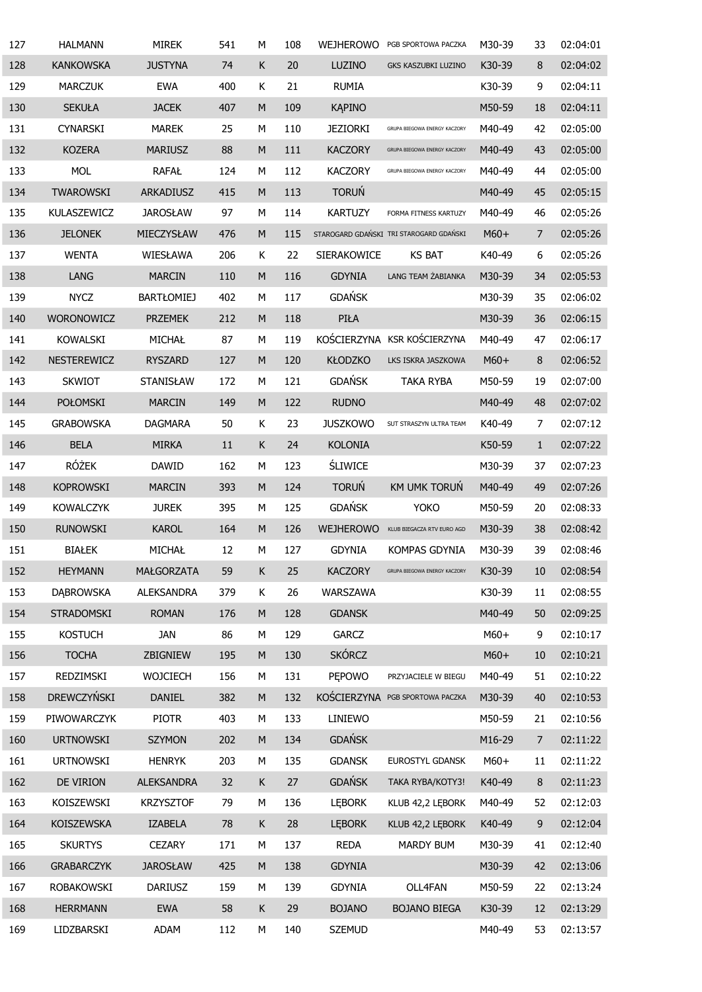| 127 | <b>HALMANN</b>    | <b>MIREK</b>      | 541    | М         | 108 | <b>WEJHEROWO</b>      | PGB SPORTOWA PACZKA                     | M30-39 | 33             | 02:04:01 |
|-----|-------------------|-------------------|--------|-----------|-----|-----------------------|-----------------------------------------|--------|----------------|----------|
| 128 | <b>KANKOWSKA</b>  | <b>JUSTYNA</b>    | 74     | Κ         | 20  | LUZINO                | GKS KASZUBKI LUZINO                     | K30-39 | 8              | 02:04:02 |
| 129 | <b>MARCZUK</b>    | <b>EWA</b>        | 400    | Κ         | 21  | <b>RUMIA</b>          |                                         | K30-39 | 9              | 02:04:11 |
| 130 | <b>SEKUŁA</b>     | <b>JACEK</b>      | 407    | M         | 109 | <b>KAPINO</b>         |                                         | M50-59 | 18             | 02:04:11 |
| 131 | <b>CYNARSKI</b>   | <b>MAREK</b>      | 25     | M         | 110 | <b>JEZIORKI</b>       | GRUPA BIEGOWA ENERGY KACZORY            | M40-49 | 42             | 02:05:00 |
| 132 | <b>KOZERA</b>     | <b>MARIUSZ</b>    | 88     | M         | 111 | <b>KACZORY</b>        | GRUPA BIEGOWA ENERGY KACZORY            | M40-49 | 43             | 02:05:00 |
| 133 | <b>MOL</b>        | <b>RAFAŁ</b>      | 124    | M         | 112 | <b>KACZORY</b>        | GRUPA BIEGOWA ENERGY KACZORY            | M40-49 | 44             | 02:05:00 |
| 134 | <b>TWAROWSKI</b>  | ARKADIUSZ         | 415    | M         | 113 | <b>TORUŃ</b>          |                                         | M40-49 | 45             | 02:05:15 |
| 135 | KULASZEWICZ       | <b>JAROSŁAW</b>   | 97     | M         | 114 | <b>KARTUZY</b>        | FORMA FITNESS KARTUZY                   | M40-49 | 46             | 02:05:26 |
| 136 | <b>JELONEK</b>    | MIECZYSŁAW        | 476    | M         | 115 |                       | STAROGARD GDAŃSKI TRI STAROGARD GDAŃSKI | $M60+$ | $\overline{7}$ | 02:05:26 |
| 137 | <b>WENTA</b>      | WIESŁAWA          | 206    | Κ         | 22  | <b>SIERAKOWICE</b>    | <b>KS BAT</b>                           | K40-49 | 6              | 02:05:26 |
| 138 | <b>LANG</b>       | <b>MARCIN</b>     | 110    | M         | 116 | <b>GDYNIA</b>         | LANG TEAM ŻABIANKA                      | M30-39 | 34             | 02:05:53 |
| 139 | <b>NYCZ</b>       | <b>BARTŁOMIEJ</b> | 402    | M         | 117 | <b>GDAŃSK</b>         |                                         | M30-39 | 35             | 02:06:02 |
| 140 | <b>WORONOWICZ</b> | <b>PRZEMEK</b>    | 212    | M         | 118 | PIŁA                  |                                         | M30-39 | 36             | 02:06:15 |
| 141 | <b>KOWALSKI</b>   | MICHAŁ            | 87     | М         | 119 |                       | KOŚCIERZYNA KSR KOŚCIERZYNA             | M40-49 | 47             | 02:06:17 |
| 142 | NESTEREWICZ       | <b>RYSZARD</b>    | 127    | M         | 120 | <b>KŁODZKO</b>        | LKS ISKRA JASZKOWA                      | $M60+$ | 8              | 02:06:52 |
| 143 | <b>SKWIOT</b>     | STANISŁAW         | 172    | М         | 121 | <b>GDAŃSK</b>         | <b>TAKA RYBA</b>                        | M50-59 | 19             | 02:07:00 |
| 144 | POŁOMSKI          | <b>MARCIN</b>     | 149    | ${\sf M}$ | 122 | <b>RUDNO</b>          |                                         | M40-49 | 48             | 02:07:02 |
| 145 | <b>GRABOWSKA</b>  | <b>DAGMARA</b>    | 50     | Κ         | 23  | <b>JUSZKOWO</b>       | SUT STRASZYN ULTRA TEAM                 | K40-49 | 7              | 02:07:12 |
| 146 | <b>BELA</b>       | <b>MIRKA</b>      | $11\,$ | K         | 24  | <b>KOLONIA</b>        |                                         | K50-59 | $\mathbf{1}$   | 02:07:22 |
| 147 | <b>RÓŻEK</b>      | <b>DAWID</b>      | 162    | М         | 123 | <b><i>SLIWICE</i></b> |                                         | M30-39 | 37             | 02:07:23 |
| 148 | <b>KOPROWSKI</b>  | <b>MARCIN</b>     | 393    | M         | 124 | <b>TORUŃ</b>          | KM UMK TORUŃ                            | M40-49 | 49             | 02:07:26 |
| 149 | <b>KOWALCZYK</b>  | <b>JUREK</b>      | 395    | М         | 125 | <b>GDAŃSK</b>         | <b>YOKO</b>                             | M50-59 | 20             | 02:08:33 |
| 150 | <b>RUNOWSKI</b>   | <b>KAROL</b>      | 164    | M         | 126 | <b>WEJHEROWO</b>      | KLUB BIEGACZA RTV EURO AGD              | M30-39 | 38             | 02:08:42 |
| 151 | <b>BIAŁEK</b>     | MICHAŁ            | 12     | М         | 127 | <b>GDYNIA</b>         | KOMPAS GDYNIA                           | M30-39 | 39             | 02:08:46 |
| 152 | <b>HEYMANN</b>    | MAŁGORZATA        | 59     | K         | 25  | <b>KACZORY</b>        | GRUPA BIEGOWA ENERGY KACZORY            | K30-39 | 10             | 02:08:54 |
| 153 | <b>DABROWSKA</b>  | ALEKSANDRA        | 379    | K         | 26  | WARSZAWA              |                                         | K30-39 | 11             | 02:08:55 |
| 154 | STRADOMSKI        | <b>ROMAN</b>      | 176    | ${\sf M}$ | 128 | <b>GDANSK</b>         |                                         | M40-49 | 50             | 02:09:25 |
| 155 | <b>KOSTUCH</b>    | <b>JAN</b>        | 86     | М         | 129 | <b>GARCZ</b>          |                                         | $M60+$ | 9              | 02:10:17 |
| 156 | <b>TOCHA</b>      | ZBIGNIEW          | 195    | ${\sf M}$ | 130 | <b>SKÓRCZ</b>         |                                         | $M60+$ | 10             | 02:10:21 |
| 157 | REDZIMSKI         | <b>WOJCIECH</b>   | 156    | М         | 131 | <b>PEPOWO</b>         | PRZYJACIELE W BIEGU                     | M40-49 | 51             | 02:10:22 |
| 158 | DREWCZYŃSKI       | <b>DANIEL</b>     | 382    | ${\sf M}$ | 132 |                       | KOŚCIERZYNA PGB SPORTOWA PACZKA         | M30-39 | 40             | 02:10:53 |
| 159 | PIWOWARCZYK       | <b>PIOTR</b>      | 403    | М         | 133 | LINIEWO               |                                         | M50-59 | 21             | 02:10:56 |
| 160 | <b>URTNOWSKI</b>  | <b>SZYMON</b>     | 202    | ${\sf M}$ | 134 | <b>GDAŃSK</b>         |                                         | M16-29 | $\overline{7}$ | 02:11:22 |
| 161 | <b>URTNOWSKI</b>  | <b>HENRYK</b>     | 203    | М         | 135 | <b>GDANSK</b>         | EUROSTYL GDANSK                         | $M60+$ | 11             | 02:11:22 |
| 162 | DE VIRION         | <b>ALEKSANDRA</b> | 32     | K         | 27  | <b>GDAŃSK</b>         | TAKA RYBA/KOTY3!                        | K40-49 | 8              | 02:11:23 |
| 163 | KOISZEWSKI        | <b>KRZYSZTOF</b>  | 79     | М         | 136 | <b>LEBORK</b>         | KLUB 42,2 LEBORK                        | M40-49 | 52             | 02:12:03 |
| 164 | <b>KOISZEWSKA</b> | <b>IZABELA</b>    | 78     | K         | 28  | <b>LEBORK</b>         | KLUB 42,2 LEBORK                        | K40-49 | 9              | 02:12:04 |
| 165 | <b>SKURTYS</b>    | <b>CEZARY</b>     | 171    | М         | 137 | <b>REDA</b>           | MARDY BUM                               | M30-39 | 41             | 02:12:40 |
| 166 | <b>GRABARCZYK</b> | <b>JAROSŁAW</b>   | 425    | M         | 138 | <b>GDYNIA</b>         |                                         | M30-39 | 42             | 02:13:06 |
| 167 | <b>ROBAKOWSKI</b> | <b>DARIUSZ</b>    | 159    | М         | 139 | <b>GDYNIA</b>         | OLL4FAN                                 | M50-59 | 22             | 02:13:24 |
| 168 | <b>HERRMANN</b>   | <b>EWA</b>        | 58     | K         | 29  | <b>BOJANO</b>         | <b>BOJANO BIEGA</b>                     | K30-39 | 12             | 02:13:29 |
| 169 | LIDZBARSKI        | ADAM              | 112    | М         | 140 | <b>SZEMUD</b>         |                                         | M40-49 | 53             | 02:13:57 |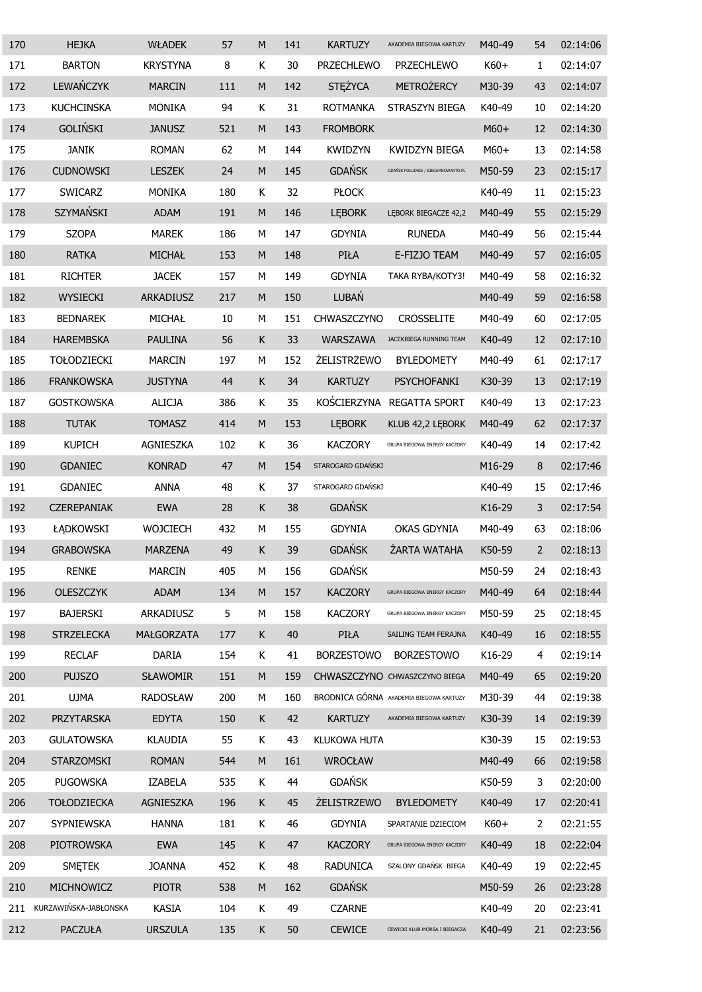| 170 | <b>HEJKA</b>          | <b>WŁADEK</b>     | 57  | M         | 141 | <b>KARTUZY</b>      | AKADEMIA BIEGOWA KARTUZY                | M40-49 | 54             | 02:14:06 |
|-----|-----------------------|-------------------|-----|-----------|-----|---------------------|-----------------------------------------|--------|----------------|----------|
| 171 | <b>BARTON</b>         | <b>KRYSTYNA</b>   | 8   | K         | 30  | <b>PRZECHLEWO</b>   | <b>PRZECHLEWO</b>                       | K60+   | $\mathbf{1}$   | 02:14:07 |
| 172 | LEWAŃCZYK             | <b>MARCIN</b>     | 111 | ${\sf M}$ | 142 | <b>STEŻYCA</b>      | <b>METROŻERCY</b>                       | M30-39 | 43             | 02:14:07 |
| 173 | <b>KUCHCINSKA</b>     | <b>MONIKA</b>     | 94  | Κ         | 31  | <b>ROTMANKA</b>     | STRASZYN BIEGA                          | K40-49 | 10             | 02:14:20 |
| 174 | <b>GOLIŃSKI</b>       | <b>JANUSZ</b>     | 521 | M         | 143 | <b>FROMBORK</b>     |                                         | $M60+$ | 12             | 02:14:30 |
| 175 | <b>JANIK</b>          | <b>ROMAN</b>      | 62  | М         | 144 | <b>KWIDZYN</b>      | KWIDZYN BIEGA                           | M60+   | 13             | 02:14:58 |
| 176 | <b>CUDNOWSKI</b>      | <b>LESZEK</b>     | 24  | M         | 145 | <b>GDAŃSK</b>       | GDAŃSK POŁUDNIE / BIEGAMBOWARTO.PL      | M50-59 | 23             | 02:15:17 |
| 177 | <b>SWICARZ</b>        | <b>MONIKA</b>     | 180 | Κ         | 32  | <b>PŁOCK</b>        |                                         | K40-49 | 11             | 02:15:23 |
| 178 | SZYMAŃSKI             | <b>ADAM</b>       | 191 | M         | 146 | <b>LEBORK</b>       | LĘBORK BIEGACZE 42,2                    | M40-49 | 55             | 02:15:29 |
| 179 | <b>SZOPA</b>          | <b>MAREK</b>      | 186 | М         | 147 | <b>GDYNIA</b>       | <b>RUNEDA</b>                           | M40-49 | 56             | 02:15:44 |
| 180 | <b>RATKA</b>          | MICHAŁ            | 153 | M         | 148 | PIŁA                | E-FIZJO TEAM                            | M40-49 | 57             | 02:16:05 |
| 181 | <b>RICHTER</b>        | <b>JACEK</b>      | 157 | М         | 149 | <b>GDYNIA</b>       | TAKA RYBA/KOTY3!                        | M40-49 | 58             | 02:16:32 |
| 182 | <b>WYSIECKI</b>       | ARKADIUSZ         | 217 | M         | 150 | LUBAŃ               |                                         | M40-49 | 59             | 02:16:58 |
| 183 | <b>BEDNAREK</b>       | MICHAŁ            | 10  | М         | 151 | CHWASZCZYNO         | <b>CROSSELITE</b>                       | M40-49 | 60             | 02:17:05 |
| 184 | <b>HAREMBSKA</b>      | <b>PAULINA</b>    | 56  | К         | 33  | WARSZAWA            | JACEKBIEGA RUNNING TEAM                 | K40-49 | 12             | 02:17:10 |
| 185 | <b>TOŁODZIECKI</b>    | <b>MARCIN</b>     | 197 | М         | 152 | <b>ŻELISTRZEWO</b>  | <b>BYLEDOMETY</b>                       | M40-49 | 61             | 02:17:17 |
| 186 | <b>FRANKOWSKA</b>     | <b>JUSTYNA</b>    | 44  | К         | 34  | <b>KARTUZY</b>      | <b>PSYCHOFANKI</b>                      | K30-39 | 13             | 02:17:19 |
| 187 | <b>GOSTKOWSKA</b>     | <b>ALICJA</b>     | 386 | К         | 35  | KOŚCIERZYNA         | <b>REGATTA SPORT</b>                    | K40-49 | 13             | 02:17:23 |
| 188 | <b>TUTAK</b>          | <b>TOMASZ</b>     | 414 | M         | 153 | <b>LEBORK</b>       | KLUB 42,2 LEBORK                        | M40-49 | 62             | 02:17:37 |
| 189 | <b>KUPICH</b>         | AGNIESZKA         | 102 | К         | 36  | <b>KACZORY</b>      | GRUPA BIEGOWA ENERGY KACZORY            | K40-49 | 14             | 02:17:42 |
| 190 | <b>GDANIEC</b>        | <b>KONRAD</b>     | 47  | ${\sf M}$ | 154 | STAROGARD GDAŃSKI   |                                         | M16-29 | 8              | 02:17:46 |
| 191 | GDANIEC               | <b>ANNA</b>       | 48  | К         | 37  | STAROGARD GDAŃSKI   |                                         | K40-49 | 15             | 02:17:46 |
| 192 | <b>CZEREPANIAK</b>    | <b>EWA</b>        | 28  | Κ         | 38  | <b>GDAŃSK</b>       |                                         | K16-29 | 3              | 02:17:54 |
| 193 | ŁĄDKOWSKI             | <b>WOJCIECH</b>   | 432 | М         | 155 | <b>GDYNIA</b>       | OKAS GDYNIA                             | M40-49 | 63             | 02:18:06 |
| 194 | <b>GRABOWSKA</b>      | <b>MARZENA</b>    | 49  | Κ         | 39  | <b>GDAŃSK</b>       | ŻARTA WATAHA                            | K50-59 | $\overline{2}$ | 02:18:13 |
| 195 | <b>RENKE</b>          | <b>MARCIN</b>     | 405 | М         | 156 | <b>GDAŃSK</b>       |                                         | M50-59 | 24             | 02:18:43 |
| 196 | <b>OLESZCZYK</b>      | <b>ADAM</b>       | 134 | M         | 157 | <b>KACZORY</b>      | GRUPA BIEGOWA ENERGY KACZORY            | M40-49 | 64             | 02:18:44 |
| 197 | <b>BAJERSKI</b>       | ARKADIUSZ         | 5   | М         | 158 | <b>KACZORY</b>      | GRUPA BIEGOWA ENERGY KACZORY            | M50-59 | 25             | 02:18:45 |
| 198 | <b>STRZELECKA</b>     | <b>MAŁGORZATA</b> | 177 | Κ         | 40  | PIŁA                | SAILING TEAM FERAJNA                    | K40-49 | 16             | 02:18:55 |
| 199 | <b>RECLAF</b>         | DARIA             | 154 | K         | 41  | <b>BORZESTOWO</b>   | <b>BORZESTOWO</b>                       | K16-29 | 4              | 02:19:14 |
| 200 | <b>PUJSZO</b>         | <b>SŁAWOMIR</b>   | 151 | ${\sf M}$ | 159 |                     | CHWASZCZYNO CHWASZCZYNO BIEGA           | M40-49 | 65             | 02:19:20 |
| 201 | <b>UJMA</b>           | <b>RADOSŁAW</b>   | 200 | М         | 160 |                     | BRODNICA GÓRNA AKADEMIA BIEGOWA KARTUZY | M30-39 | 44             | 02:19:38 |
| 202 | PRZYTARSKA            | <b>EDYTA</b>      | 150 | K         | 42  | <b>KARTUZY</b>      | AKADEMIA BIEGOWA KARTUZY                | K30-39 | 14             | 02:19:39 |
| 203 | <b>GULATOWSKA</b>     | <b>KLAUDIA</b>    | 55  | K         | 43  | <b>KLUKOWA HUTA</b> |                                         | K30-39 | 15             | 02:19:53 |
| 204 | STARZOMSKI            | <b>ROMAN</b>      | 544 | M         | 161 | <b>WROCŁAW</b>      |                                         | M40-49 | 66             | 02:19:58 |
| 205 | <b>PUGOWSKA</b>       | <b>IZABELA</b>    | 535 | К         | 44  | <b>GDAŃSK</b>       |                                         | K50-59 | 3              | 02:20:00 |
| 206 | <b>TOŁODZIECKA</b>    | AGNIESZKA         | 196 | K         | 45  | <b>ŻELISTRZEWO</b>  | <b>BYLEDOMETY</b>                       | K40-49 | 17             | 02:20:41 |
| 207 | SYPNIEWSKA            | <b>HANNA</b>      | 181 | Κ         | 46  | <b>GDYNIA</b>       | SPARTANIE DZIECIOM                      | $K60+$ | $\overline{2}$ | 02:21:55 |
| 208 | PIOTROWSKA            | <b>EWA</b>        | 145 | К         | 47  | <b>KACZORY</b>      | GRUPA BIEGOWA ENERGY KACZORY            | K40-49 | 18             | 02:22:04 |
| 209 | <b>SMETEK</b>         | <b>JOANNA</b>     | 452 | К         | 48  | <b>RADUNICA</b>     | SZALONY GDAŃSK BIEGA                    | K40-49 | 19             | 02:22:45 |
| 210 | MICHNOWICZ            | <b>PIOTR</b>      | 538 | ${\sf M}$ | 162 | <b>GDAŃSK</b>       |                                         | M50-59 | 26             | 02:23:28 |
| 211 | KURZAWIŃSKA-JABŁONSKA | <b>KASIA</b>      | 104 | Κ         | 49  | <b>CZARNE</b>       |                                         | K40-49 | 20             | 02:23:41 |
| 212 | <b>PACZUŁA</b>        | <b>URSZULA</b>    | 135 | K         | 50  | <b>CEWICE</b>       | CEWICKI KLUB MORSA I BIEGACZA           | K40-49 | 21             | 02:23:56 |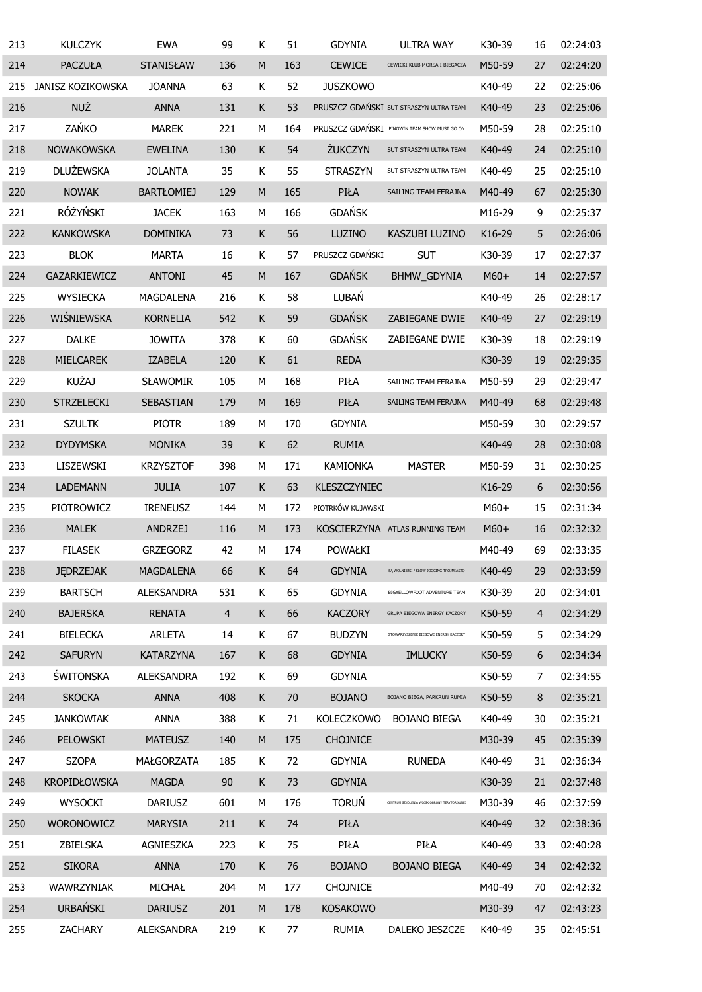| 213 | <b>KULCZYK</b>      | <b>EWA</b>        | 99             | Κ           | 51  | <b>GDYNIA</b>     | <b>ULTRA WAY</b>                             | K30-39 | 16             | 02:24:03 |
|-----|---------------------|-------------------|----------------|-------------|-----|-------------------|----------------------------------------------|--------|----------------|----------|
| 214 | <b>PACZUŁA</b>      | <b>STANISŁAW</b>  | 136            | M           | 163 | <b>CEWICE</b>     | CEWICKI KLUB MORSA I BIEGACZA                | M50-59 | 27             | 02:24:20 |
| 215 | JANISZ KOZIKOWSKA   | <b>JOANNA</b>     | 63             | Κ           | 52  | <b>JUSZKOWO</b>   |                                              | K40-49 | 22             | 02:25:06 |
| 216 | <b>NUŻ</b>          | <b>ANNA</b>       | 131            | K           | 53  |                   | PRUSZCZ GDAŃSKI SUT STRASZYN ULTRA TEAM      | K40-49 | 23             | 02:25:06 |
| 217 | ZAŃKO               | <b>MAREK</b>      | 221            | М           | 164 |                   | PRUSZCZ GDAŃSKI PINGWIN TEAM SHOW MUST GO ON | M50-59 | 28             | 02:25:10 |
| 218 | <b>NOWAKOWSKA</b>   | <b>EWELINA</b>    | 130            | $\mathsf K$ | 54  | <b>ŻUKCZYN</b>    | SUT STRASZYN ULTRA TEAM                      | K40-49 | 24             | 02:25:10 |
| 219 | <b>DLUŻEWSKA</b>    | <b>JOLANTA</b>    | 35             | Κ           | 55  | <b>STRASZYN</b>   | SUT STRASZYN ULTRA TEAM                      | K40-49 | 25             | 02:25:10 |
| 220 | <b>NOWAK</b>        | <b>BARTŁOMIEJ</b> | 129            | M           | 165 | PIŁA              | SAILING TEAM FERAJNA                         | M40-49 | 67             | 02:25:30 |
| 221 | RÓŻYŃSKI            | <b>JACEK</b>      | 163            | М           | 166 | <b>GDAŃSK</b>     |                                              | M16-29 | 9              | 02:25:37 |
| 222 | <b>KANKOWSKA</b>    | <b>DOMINIKA</b>   | 73             | K           | 56  | LUZINO            | KASZUBI LUZINO                               | K16-29 | 5              | 02:26:06 |
| 223 | <b>BLOK</b>         | <b>MARTA</b>      | 16             | Κ           | 57  | PRUSZCZ GDAŃSKI   | <b>SUT</b>                                   | K30-39 | 17             | 02:27:37 |
| 224 | GAZARKIEWICZ        | <b>ANTONI</b>     | 45             | M           | 167 | <b>GDAŃSK</b>     | BHMW_GDYNIA                                  | $M60+$ | 14             | 02:27:57 |
| 225 | <b>WYSIECKA</b>     | MAGDALENA         | 216            | Κ           | 58  | LUBAŃ             |                                              | K40-49 | 26             | 02:28:17 |
| 226 | WIŚNIEWSKA          | <b>KORNELIA</b>   | 542            | K           | 59  | <b>GDAŃSK</b>     | ZABIEGANE DWIE                               | K40-49 | 27             | 02:29:19 |
| 227 | <b>DALKE</b>        | <b>JOWITA</b>     | 378            | Κ           | 60  | <b>GDAŃSK</b>     | ZABIEGANE DWIE                               | K30-39 | 18             | 02:29:19 |
| 228 | MIELCAREK           | <b>IZABELA</b>    | 120            | K           | 61  | <b>REDA</b>       |                                              | K30-39 | 19             | 02:29:35 |
| 229 | <b>KUŻAJ</b>        | <b>SŁAWOMIR</b>   | 105            | М           | 168 | PIŁA              | SAILING TEAM FERAJNA                         | M50-59 | 29             | 02:29:47 |
| 230 | <b>STRZELECKI</b>   | SEBASTIAN         | 179            | M           | 169 | PIŁA              | SAILING TEAM FERAJNA                         | M40-49 | 68             | 02:29:48 |
| 231 | <b>SZULTK</b>       | <b>PIOTR</b>      | 189            | М           | 170 | <b>GDYNIA</b>     |                                              | M50-59 | 30             | 02:29:57 |
| 232 | <b>DYDYMSKA</b>     | <b>MONIKA</b>     | 39             | K           | 62  | <b>RUMIA</b>      |                                              | K40-49 | 28             | 02:30:08 |
| 233 | LISZEWSKI           | <b>KRZYSZTOF</b>  | 398            | М           | 171 | <b>KAMIONKA</b>   | <b>MASTER</b>                                | M50-59 | 31             | 02:30:25 |
| 234 | <b>LADEMANN</b>     | <b>JULIA</b>      | 107            | K           | 63  | KLESZCZYNIEC      |                                              | K16-29 | 6              | 02:30:56 |
| 235 | PIOTROWICZ          | <b>IRENEUSZ</b>   | 144            | М           | 172 | PIOTRKÓW KUJAWSKI |                                              | $M60+$ | 15             | 02:31:34 |
| 236 | <b>MALEK</b>        | <b>ANDRZEJ</b>    | 116            | M           | 173 |                   | KOSCIERZYNA ATLAS RUNNING TEAM               | $M60+$ | 16             | 02:32:32 |
| 237 | <b>FILASEK</b>      | <b>GRZEGORZ</b>   | 42             | М           | 174 | POWAŁKI           |                                              | M40-49 | 69             | 02:33:35 |
| 238 | <b>JĘDRZEJAK</b>    | <b>MAGDALENA</b>  | 66             | К           | 64  | <b>GDYNIA</b>     | SĄ WOLNIEJSI / SLOW JOGGING TRÓJMIASTO       | K40-49 | 29             | 02:33:59 |
| 239 | <b>BARTSCH</b>      | <b>ALEKSANDRA</b> | 531            | K           | 65  | <b>GDYNIA</b>     | BIGYELLOWFOOT ADVENTURE TEAM                 | K30-39 | 20             | 02:34:01 |
| 240 | <b>BAJERSKA</b>     | <b>RENATA</b>     | $\overline{4}$ | K           | 66  | <b>KACZORY</b>    | GRUPA BIEGOWA ENERGY KACZORY                 | K50-59 | $\overline{4}$ | 02:34:29 |
| 241 | <b>BIELECKA</b>     | <b>ARLETA</b>     | 14             | K           | 67  | <b>BUDZYN</b>     | STOWARZYSZENIE BIEGOWE ENERGY KACZORY        | K50-59 | 5              | 02:34:29 |
| 242 | <b>SAFURYN</b>      | KATARZYNA         | 167            | K           | 68  | <b>GDYNIA</b>     | <b>IMLUCKY</b>                               | K50-59 | 6              | 02:34:34 |
| 243 | ŚWITONSKA           | <b>ALEKSANDRA</b> | 192            | K           | 69  | <b>GDYNIA</b>     |                                              | K50-59 | 7              | 02:34:55 |
| 244 | <b>SKOCKA</b>       | <b>ANNA</b>       | 408            | K           | 70  | <b>BOJANO</b>     | BOJANO BIEGA, PARKRUN RUMIA                  | K50-59 | 8              | 02:35:21 |
| 245 | <b>JANKOWIAK</b>    | ANNA              | 388            | K           | 71  | <b>KOLECZKOWO</b> | <b>BOJANO BIEGA</b>                          | K40-49 | 30             | 02:35:21 |
| 246 | PELOWSKI            | <b>MATEUSZ</b>    | 140            | ${\sf M}$   | 175 | <b>CHOJNICE</b>   |                                              | M30-39 | 45             | 02:35:39 |
| 247 | <b>SZOPA</b>        | MAŁGORZATA        | 185            | K           | 72  | <b>GDYNIA</b>     | <b>RUNEDA</b>                                | K40-49 | 31             | 02:36:34 |
| 248 | <b>KROPIDŁOWSKA</b> | <b>MAGDA</b>      | 90             | K           | 73  | <b>GDYNIA</b>     |                                              | K30-39 | 21             | 02:37:48 |
| 249 | <b>WYSOCKI</b>      | <b>DARIUSZ</b>    | 601            | М           | 176 | <b>TORUŃ</b>      | CENTRUM SZKOLENIA WOJSK OBRONY TERYTORIALNEJ | M30-39 | 46             | 02:37:59 |
| 250 | WORONOWICZ          | <b>MARYSIA</b>    | 211            | К           | 74  | PIŁA              |                                              | K40-49 | 32             | 02:38:36 |
| 251 | ZBIELSKA            | AGNIESZKA         | 223            | K           | 75  | PIŁA              | PIŁA                                         | K40-49 | 33             | 02:40:28 |
| 252 | <b>SIKORA</b>       | <b>ANNA</b>       | 170            | К           | 76  | <b>BOJANO</b>     | <b>BOJANO BIEGA</b>                          | K40-49 | 34             | 02:42:32 |
| 253 | WAWRZYNIAK          | MICHAŁ            | 204            | М           | 177 | <b>CHOJNICE</b>   |                                              | M40-49 | 70             | 02:42:32 |
| 254 | <b>URBAŃSKI</b>     | <b>DARIUSZ</b>    | 201            | M           | 178 | <b>KOSAKOWO</b>   |                                              | M30-39 | 47             | 02:43:23 |
| 255 | <b>ZACHARY</b>      | ALEKSANDRA        | 219            | K           | 77  | <b>RUMIA</b>      | DALEKO JESZCZE                               | K40-49 | 35             | 02:45:51 |